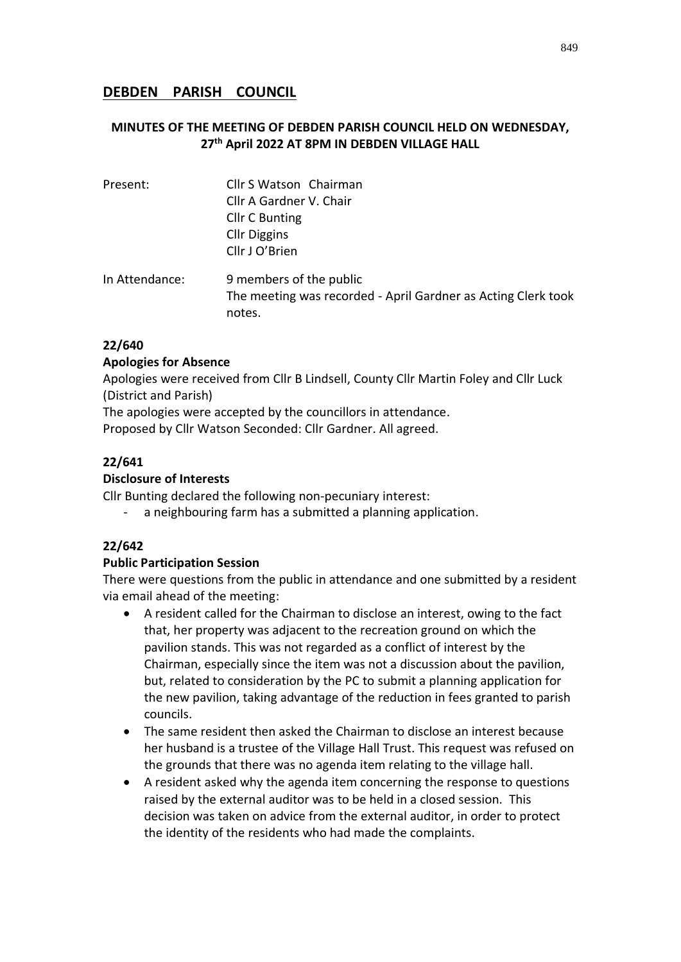# **DEBDEN PARISH COUNCIL**

# **MINUTES OF THE MEETING OF DEBDEN PARISH COUNCIL HELD ON WEDNESDAY, 27 th April 2022 AT 8PM IN DEBDEN VILLAGE HALL**

| Present:       | Cllr S Watson Chairman                                                                             |
|----------------|----------------------------------------------------------------------------------------------------|
|                | Cllr A Gardner V. Chair                                                                            |
|                | <b>Cllr C Bunting</b>                                                                              |
|                | <b>Cllr Diggins</b>                                                                                |
|                | Cllr J O'Brien                                                                                     |
| In Attendance: | 9 members of the public<br>The meeting was recorded - April Gardner as Acting Clerk took<br>notes. |

### **22/640**

#### **Apologies for Absence**

Apologies were received from Cllr B Lindsell, County Cllr Martin Foley and Cllr Luck (District and Parish)

The apologies were accepted by the councillors in attendance.

Proposed by Cllr Watson Seconded: Cllr Gardner. All agreed.

# **22/641**

### **Disclosure of Interests**

Cllr Bunting declared the following non-pecuniary interest:

a neighbouring farm has a submitted a planning application.

# **22/642**

#### **Public Participation Session**

There were questions from the public in attendance and one submitted by a resident via email ahead of the meeting:

- A resident called for the Chairman to disclose an interest, owing to the fact that, her property was adjacent to the recreation ground on which the pavilion stands. This was not regarded as a conflict of interest by the Chairman, especially since the item was not a discussion about the pavilion, but, related to consideration by the PC to submit a planning application for the new pavilion, taking advantage of the reduction in fees granted to parish councils.
- The same resident then asked the Chairman to disclose an interest because her husband is a trustee of the Village Hall Trust. This request was refused on the grounds that there was no agenda item relating to the village hall.
- A resident asked why the agenda item concerning the response to questions raised by the external auditor was to be held in a closed session. This decision was taken on advice from the external auditor, in order to protect the identity of the residents who had made the complaints.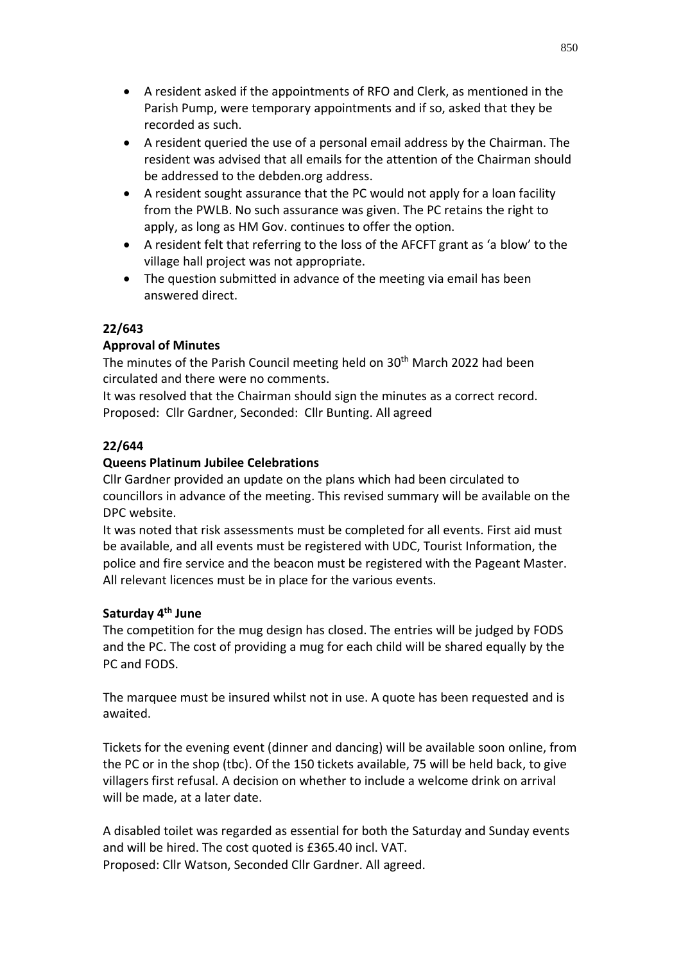- A resident asked if the appointments of RFO and Clerk, as mentioned in the Parish Pump, were temporary appointments and if so, asked that they be recorded as such.
- A resident queried the use of a personal email address by the Chairman. The resident was advised that all emails for the attention of the Chairman should be addressed to the debden.org address.
- A resident sought assurance that the PC would not apply for a loan facility from the PWLB. No such assurance was given. The PC retains the right to apply, as long as HM Gov. continues to offer the option.
- A resident felt that referring to the loss of the AFCFT grant as 'a blow' to the village hall project was not appropriate.
- The question submitted in advance of the meeting via email has been answered direct.

# **22/643**

# **Approval of Minutes**

The minutes of the Parish Council meeting held on 30<sup>th</sup> March 2022 had been circulated and there were no comments.

It was resolved that the Chairman should sign the minutes as a correct record. Proposed: Cllr Gardner, Seconded: Cllr Bunting. All agreed

# **22/644**

# **Queens Platinum Jubilee Celebrations**

Cllr Gardner provided an update on the plans which had been circulated to councillors in advance of the meeting. This revised summary will be available on the DPC website.

It was noted that risk assessments must be completed for all events. First aid must be available, and all events must be registered with UDC, Tourist Information, the police and fire service and the beacon must be registered with the Pageant Master. All relevant licences must be in place for the various events.

# **Saturday 4th June**

The competition for the mug design has closed. The entries will be judged by FODS and the PC. The cost of providing a mug for each child will be shared equally by the PC and FODS.

The marquee must be insured whilst not in use. A quote has been requested and is awaited.

Tickets for the evening event (dinner and dancing) will be available soon online, from the PC or in the shop (tbc). Of the 150 tickets available, 75 will be held back, to give villagers first refusal. A decision on whether to include a welcome drink on arrival will be made, at a later date.

A disabled toilet was regarded as essential for both the Saturday and Sunday events and will be hired. The cost quoted is £365.40 incl. VAT. Proposed: Cllr Watson, Seconded Cllr Gardner. All agreed.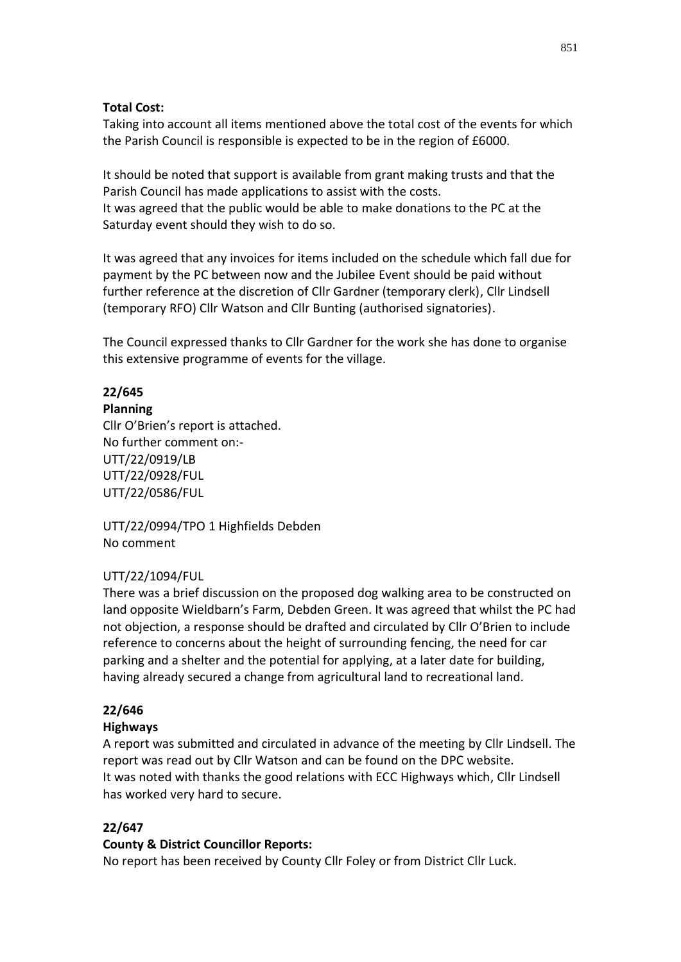### **Total Cost:**

Taking into account all items mentioned above the total cost of the events for which the Parish Council is responsible is expected to be in the region of £6000.

It should be noted that support is available from grant making trusts and that the Parish Council has made applications to assist with the costs. It was agreed that the public would be able to make donations to the PC at the Saturday event should they wish to do so.

It was agreed that any invoices for items included on the schedule which fall due for payment by the PC between now and the Jubilee Event should be paid without further reference at the discretion of Cllr Gardner (temporary clerk), Cllr Lindsell (temporary RFO) Cllr Watson and Cllr Bunting (authorised signatories).

The Council expressed thanks to Cllr Gardner for the work she has done to organise this extensive programme of events for the village.

# **22/645**

#### **Planning**

Cllr O'Brien's report is attached. No further comment on:- UTT/22/0919/LB UTT/22/0928/FUL UTT/22/0586/FUL

UTT/22/0994/TPO 1 Highfields Debden No comment

# UTT/22/1094/FUL

There was a brief discussion on the proposed dog walking area to be constructed on land opposite Wieldbarn's Farm, Debden Green. It was agreed that whilst the PC had not objection, a response should be drafted and circulated by Cllr O'Brien to include reference to concerns about the height of surrounding fencing, the need for car parking and a shelter and the potential for applying, at a later date for building, having already secured a change from agricultural land to recreational land.

# **22/646**

#### **Highways**

A report was submitted and circulated in advance of the meeting by Cllr Lindsell. The report was read out by Cllr Watson and can be found on the DPC website. It was noted with thanks the good relations with ECC Highways which, Cllr Lindsell has worked very hard to secure.

# **22/647**

#### **County & District Councillor Reports:**

No report has been received by County Cllr Foley or from District Cllr Luck.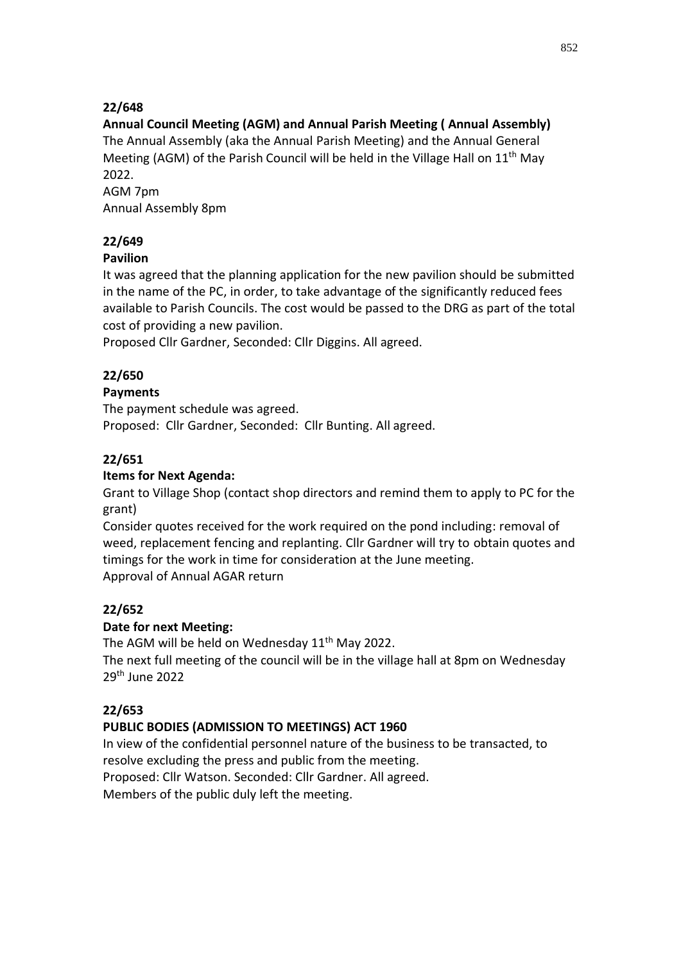# **22/648**

# **Annual Council Meeting (AGM) and Annual Parish Meeting ( Annual Assembly)**

The Annual Assembly (aka the Annual Parish Meeting) and the Annual General Meeting (AGM) of the Parish Council will be held in the Village Hall on  $11<sup>th</sup>$  May 2022.

AGM 7pm Annual Assembly 8pm

# **22/649**

# **Pavilion**

It was agreed that the planning application for the new pavilion should be submitted in the name of the PC, in order, to take advantage of the significantly reduced fees available to Parish Councils. The cost would be passed to the DRG as part of the total cost of providing a new pavilion.

Proposed Cllr Gardner, Seconded: Cllr Diggins. All agreed.

# **22/650**

# **Payments**

The payment schedule was agreed. Proposed: Cllr Gardner, Seconded: Cllr Bunting. All agreed.

# **22/651**

# **Items for Next Agenda:**

Grant to Village Shop (contact shop directors and remind them to apply to PC for the grant)

Consider quotes received for the work required on the pond including: removal of weed, replacement fencing and replanting. Cllr Gardner will try to obtain quotes and timings for the work in time for consideration at the June meeting. Approval of Annual AGAR return

# **22/652**

# **Date for next Meeting:**

The AGM will be held on Wednesday 11<sup>th</sup> May 2022.

The next full meeting of the council will be in the village hall at 8pm on Wednesday 29th June 2022

# **22/653**

# **PUBLIC BODIES (ADMISSION TO MEETINGS) ACT 1960**

In view of the confidential personnel nature of the business to be transacted, to resolve excluding the press and public from the meeting. Proposed: Cllr Watson. Seconded: Cllr Gardner. All agreed. Members of the public duly left the meeting.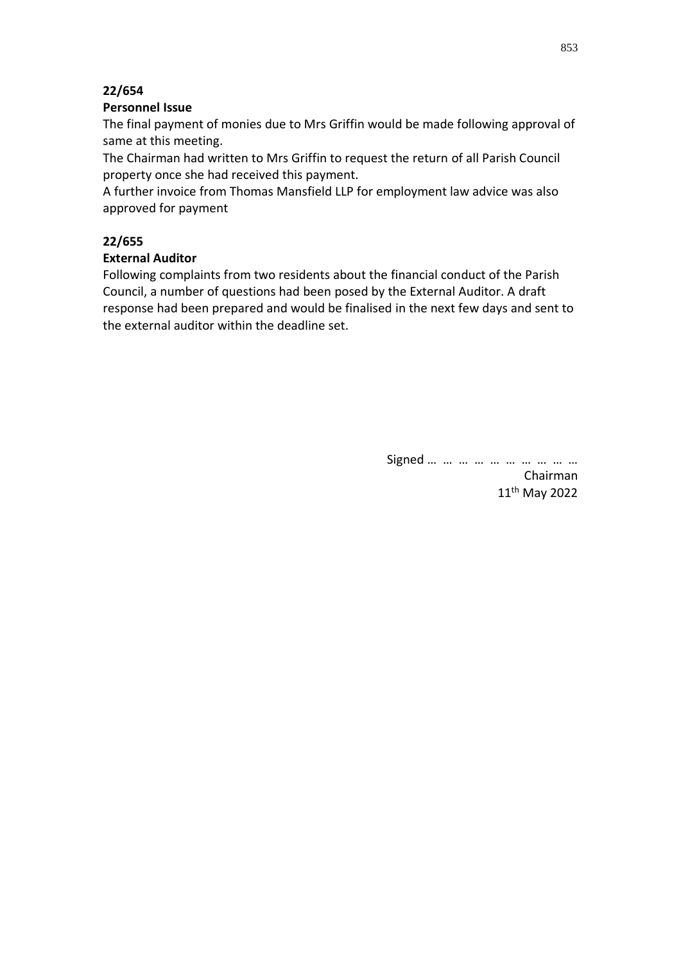### **22/654**

#### **Personnel Issue**

The final payment of monies due to Mrs Griffin would be made following approval of same at this meeting.

The Chairman had written to Mrs Griffin to request the return of all Parish Council property once she had received this payment.

A further invoice from Thomas Mansfield LLP for employment law advice was also approved for payment

### **22/655**

### **External Auditor**

Following complaints from two residents about the financial conduct of the Parish Council, a number of questions had been posed by the External Auditor. A draft response had been prepared and would be finalised in the next few days and sent to the external auditor within the deadline set.

> Signed … … … … … … … … … … Chairman 11th May 2022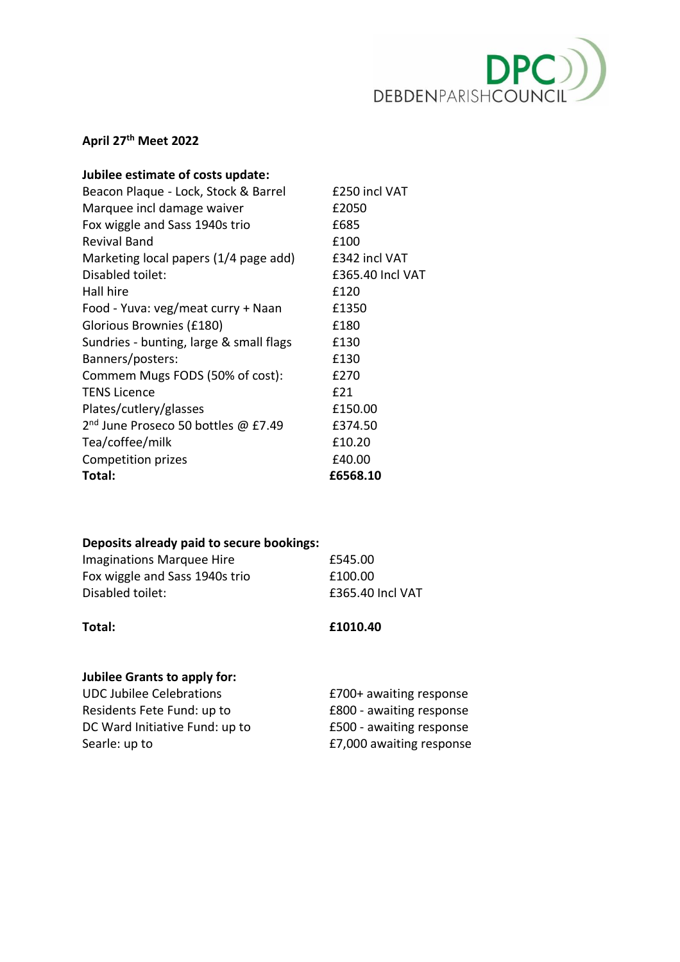

# **April 27th Meet 2022**

| Jubilee estimate of costs update:               |                  |
|-------------------------------------------------|------------------|
| Beacon Plaque - Lock, Stock & Barrel            | £250 incl VAT    |
| Marquee incl damage waiver                      | £2050            |
| Fox wiggle and Sass 1940s trio                  | £685             |
| Revival Band                                    | £100             |
| Marketing local papers (1/4 page add)           | £342 incl VAT    |
| Disabled toilet:                                | £365.40 Incl VAT |
| Hall hire                                       | £120             |
| Food - Yuva: veg/meat curry + Naan              | £1350            |
| Glorious Brownies (£180)                        | £180             |
| Sundries - bunting, large & small flags         | £130             |
| Banners/posters:                                | £130             |
| Commem Mugs FODS (50% of cost):                 | £270             |
| <b>TENS Licence</b>                             | £21              |
| Plates/cutlery/glasses                          | £150.00          |
| 2 <sup>nd</sup> June Proseco 50 bottles @ £7.49 | £374.50          |
| Tea/coffee/milk                                 | £10.20           |
| Competition prizes                              | £40.00           |
| Total:                                          | £6568.10         |

# **Deposits already paid to secure bookings:**

| Imaginations Marquee Hire      | £545.00          |
|--------------------------------|------------------|
| Fox wiggle and Sass 1940s trio | £100.00          |
| Disabled toilet:               | £365.40 Incl VAT |

**Total: £1010.40**

# **Jubilee Grants to apply for:**

| <b>UDC Jubilee Celebrations</b> | £700+ awaiting response  |
|---------------------------------|--------------------------|
| Residents Fete Fund: up to      | £800 - awaiting response |
| DC Ward Initiative Fund: up to  | £500 - awaiting response |
| Searle: up to                   | £7,000 awaiting response |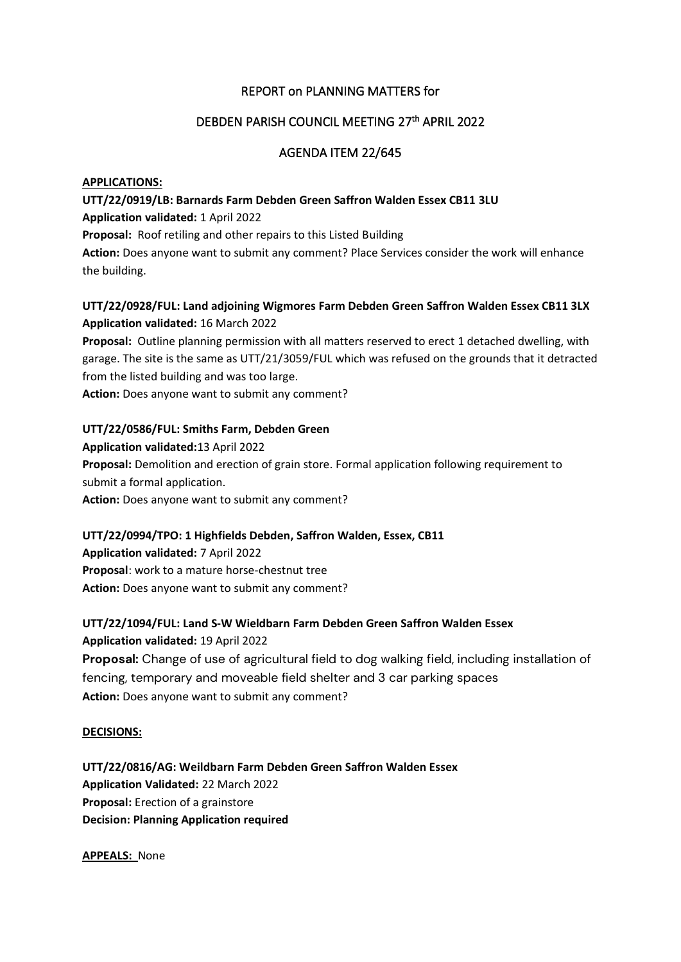### REPORT on PLANNING MATTERS for

### DEBDEN PARISH COUNCIL MEETING 27th APRIL 2022

### AGENDA ITEM 22/645

#### **APPLICATIONS:**

# **UTT/22/0919/LB: Barnards Farm Debden Green Saffron Walden Essex CB11 3LU**

#### **Application validated:** 1 April 2022

**Proposal:** Roof retiling and other repairs to this Listed Building

**Action:** Does anyone want to submit any comment? Place Services consider the work will enhance the building.

### **UTT/22/0928/FUL: Land adjoining Wigmores Farm Debden Green Saffron Walden Essex CB11 3LX Application validated:** 16 March 2022

**Proposal:** Outline planning permission with all matters reserved to erect 1 detached dwelling, with garage. The site is the same as UTT/21/3059/FUL which was refused on the grounds that it detracted from the listed building and was too large.

**Action:** Does anyone want to submit any comment?

#### **UTT/22/0586/FUL: Smiths Farm, Debden Green**

# **Application validated:**13 April 2022 **Proposal:** Demolition and erection of grain store. Formal application following requirement to submit a formal application. **Action:** Does anyone want to submit any comment?

#### **UTT/22/0994/TPO: 1 Highfields Debden, Saffron Walden, Essex, CB11**

**Application validated:** 7 April 2022 **Proposal**: work to a mature horse-chestnut tree **Action:** Does anyone want to submit any comment?

#### **UTT/22/1094/FUL: Land S-W Wieldbarn Farm Debden Green Saffron Walden Essex**

**Application validated:** 19 April 2022 **Proposal:** Change of use of agricultural field to dog walking field, including installation of fencing, temporary and moveable field shelter and 3 car parking spaces **Action:** Does anyone want to submit any comment?

#### **DECISIONS:**

**UTT/22/0816/AG: Weildbarn Farm Debden Green Saffron Walden Essex Application Validated:** 22 March 2022 **Proposal:** Erection of a grainstore **Decision: Planning Application required**

**APPEALS:** None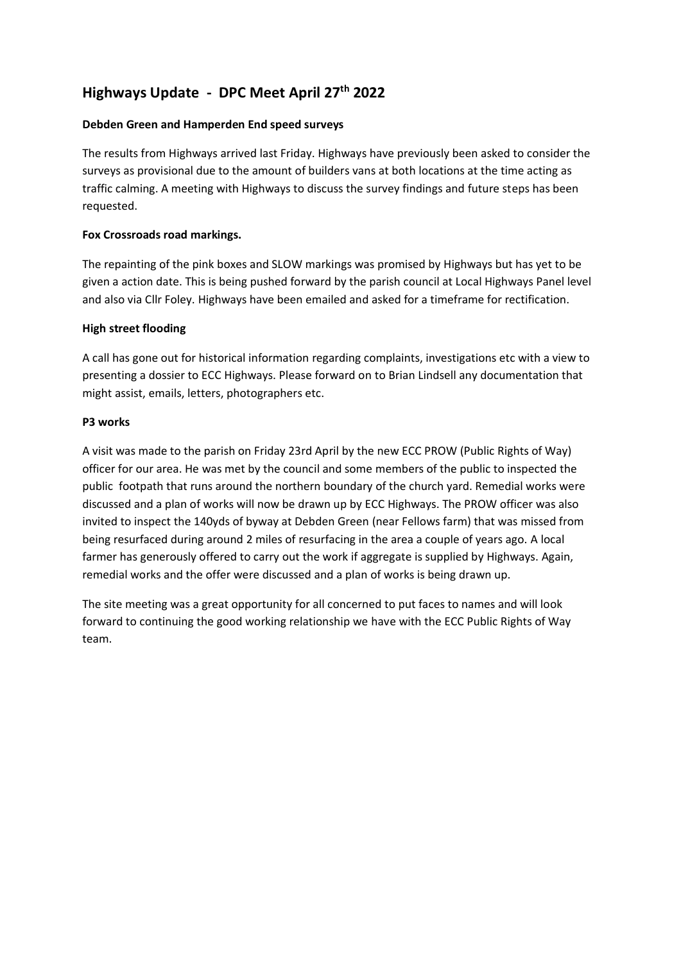# **Highways Update - DPC Meet April 27th 2022**

#### **Debden Green and Hamperden End speed surveys**

The results from Highways arrived last Friday. Highways have previously been asked to consider the surveys as provisional due to the amount of builders vans at both locations at the time acting as traffic calming. A meeting with Highways to discuss the survey findings and future steps has been requested.

#### **Fox Crossroads road markings.**

The repainting of the pink boxes and SLOW markings was promised by Highways but has yet to be given a action date. This is being pushed forward by the parish council at Local Highways Panel level and also via Cllr Foley. Highways have been emailed and asked for a timeframe for rectification.

#### **High street flooding**

A call has gone out for historical information regarding complaints, investigations etc with a view to presenting a dossier to ECC Highways. Please forward on to Brian Lindsell any documentation that might assist, emails, letters, photographers etc.

#### **P3 works**

A visit was made to the parish on Friday 23rd April by the new ECC PROW (Public Rights of Way) officer for our area. He was met by the council and some members of the public to inspected the public footpath that runs around the northern boundary of the church yard. Remedial works were discussed and a plan of works will now be drawn up by ECC Highways. The PROW officer was also invited to inspect the 140yds of byway at Debden Green (near Fellows farm) that was missed from being resurfaced during around 2 miles of resurfacing in the area a couple of years ago. A local farmer has generously offered to carry out the work if aggregate is supplied by Highways. Again, remedial works and the offer were discussed and a plan of works is being drawn up.

The site meeting was a great opportunity for all concerned to put faces to names and will look forward to continuing the good working relationship we have with the ECC Public Rights of Way team.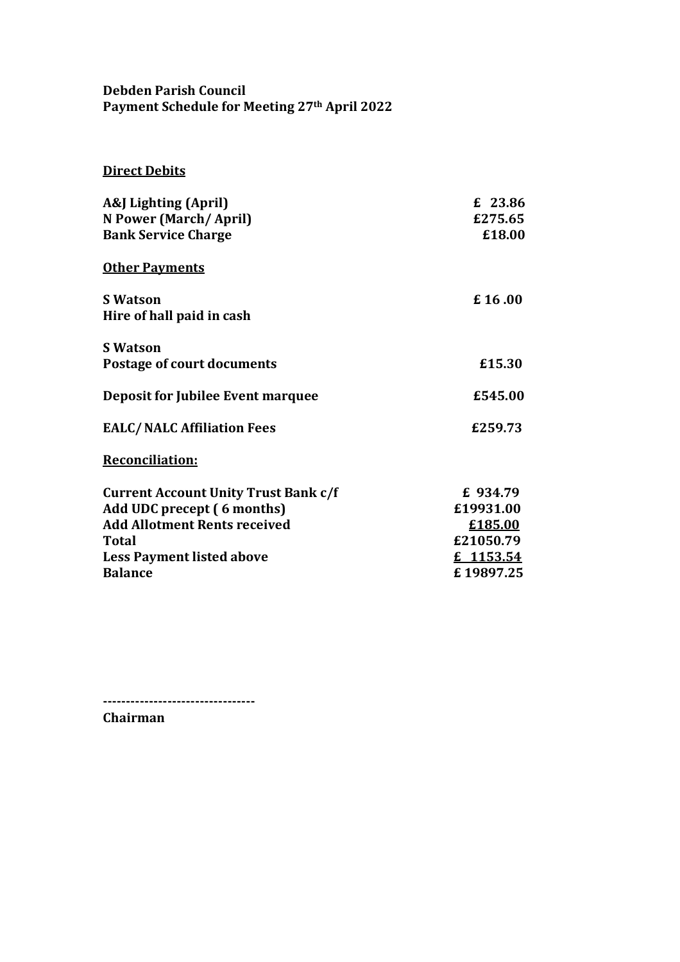# **Debden Parish Council Payment Schedule for Meeting 27th April 2022**

# **Direct Debits**

| A&J Lighting (April)                                                                                | £ 23.86               |
|-----------------------------------------------------------------------------------------------------|-----------------------|
| N Power (March/April)                                                                               | £275.65               |
| <b>Bank Service Charge</b>                                                                          | £18.00                |
| <b>Other Payments</b><br><b>S</b> Watson<br>Hire of hall paid in cash                               | £16.00                |
| <b>S</b> Watson                                                                                     | £15.30                |
| <b>Postage of court documents</b>                                                                   | £545.00               |
| Deposit for Jubilee Event marquee<br><b>EALC/NALC Affiliation Fees</b>                              | £259.73               |
| <b>Reconciliation:</b><br><b>Current Account Unity Trust Bank c/f</b><br>Add UDC precept (6 months) | £ 934.79<br>£19931.00 |
| <b>Add Allotment Rents received</b>                                                                 | £185.00               |
| <b>Total</b>                                                                                        | £21050.79             |
| <b>Less Payment listed above</b>                                                                    | £ 1153.54             |
| <b>Balance</b>                                                                                      | £19897.25             |

**--------------------------------- Chairman**